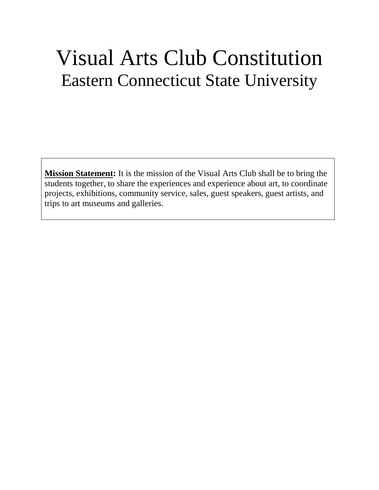# Visual Arts Club Constitution Eastern Connecticut State University

**Mission Statement:** It is the mission of the Visual Arts Club shall be to bring the students together, to share the experiences and experience about art, to coordinate projects, exhibitions, community service, sales, guest speakers, guest artists, and trips to art museums and galleries.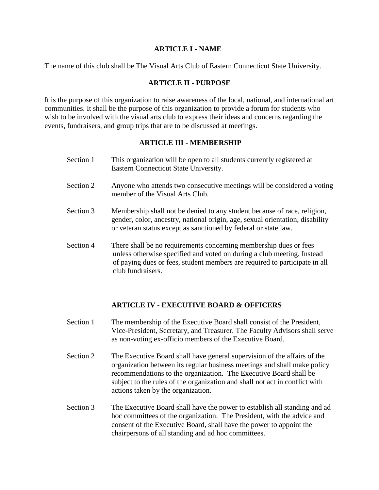#### **ARTICLE I - NAME**

The name of this club shall be The Visual Arts Club of Eastern Connecticut State University.

#### **ARTICLE II - PURPOSE**

It is the purpose of this organization to raise awareness of the local, national, and international art communities. It shall be the purpose of this organization to provide a forum for students who wish to be involved with the visual arts club to express their ideas and concerns regarding the events, fundraisers, and group trips that are to be discussed at meetings.

#### **ARTICLE III - MEMBERSHIP**

- Section 1 This organization will be open to all students currently registered at Eastern Connecticut State University.
- Section 2 Anyone who attends two consecutive meetings will be considered a voting member of the Visual Arts Club.
- Section 3 Membership shall not be denied to any student because of race, religion, gender, color, ancestry, national origin, age, sexual orientation, disability or veteran status except as sanctioned by federal or state law.
- Section 4 There shall be no requirements concerning membership dues or fees unless otherwise specified and voted on during a club meeting. Instead of paying dues or fees, student members are required to participate in all club fundraisers.

## **ARTICLE IV - EXECUTIVE BOARD & OFFICERS**

- Section 1 The membership of the Executive Board shall consist of the President, Vice-President, Secretary, and Treasurer. The Faculty Advisors shall serve as non-voting ex-officio members of the Executive Board.
- Section 2 The Executive Board shall have general supervision of the affairs of the organization between its regular business meetings and shall make policy recommendations to the organization. The Executive Board shall be subject to the rules of the organization and shall not act in conflict with actions taken by the organization.
- Section 3 The Executive Board shall have the power to establish all standing and ad hoc committees of the organization. The President, with the advice and consent of the Executive Board, shall have the power to appoint the chairpersons of all standing and ad hoc committees.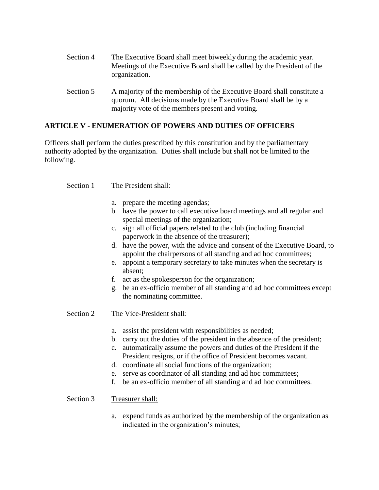| Section 4                   | The Executive Board shall meet biweekly during the academic year.<br>Meetings of the Executive Board shall be called by the President of the<br>organization. |
|-----------------------------|---------------------------------------------------------------------------------------------------------------------------------------------------------------|
| $\mathcal{C}_{\text{anti}}$ | A moionity of the membership of the Executive Deem shell constitute a                                                                                         |

Section 5 A majority of the membership of the Executive Board shall constitute a quorum. All decisions made by the Executive Board shall be by a majority vote of the members present and voting.

## **ARTICLE V - ENUMERATION OF POWERS AND DUTIES OF OFFICERS**

Officers shall perform the duties prescribed by this constitution and by the parliamentary authority adopted by the organization. Duties shall include but shall not be limited to the following.

#### Section 1 The President shall:

- a. prepare the meeting agendas;
- b. have the power to call executive board meetings and all regular and special meetings of the organization;
- c. sign all official papers related to the club (including financial paperwork in the absence of the treasurer);
- d. have the power, with the advice and consent of the Executive Board, to appoint the chairpersons of all standing and ad hoc committees;
- e. appoint a temporary secretary to take minutes when the secretary is absent;
- f. act as the spokesperson for the organization;
- g. be an ex-officio member of all standing and ad hoc committees except the nominating committee.
- Section 2 The Vice-President shall:
	- a. assist the president with responsibilities as needed;
	- b. carry out the duties of the president in the absence of the president;
	- c. automatically assume the powers and duties of the President if the President resigns, or if the office of President becomes vacant.
	- d. coordinate all social functions of the organization;
	- e. serve as coordinator of all standing and ad hoc committees;
	- f. be an ex-officio member of all standing and ad hoc committees.

#### Section 3 Treasurer shall:

a. expend funds as authorized by the membership of the organization as indicated in the organization's minutes;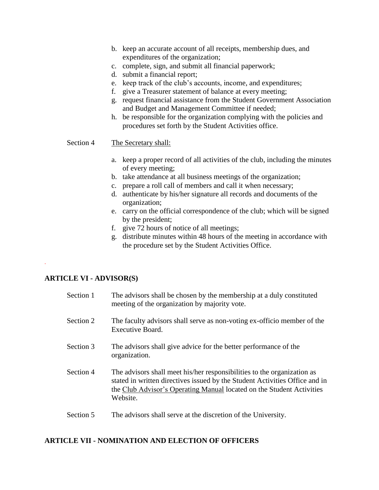- b. keep an accurate account of all receipts, membership dues, and expenditures of the organization;
- c. complete, sign, and submit all financial paperwork;
- d. submit a financial report;
- e. keep track of the club's accounts, income, and expenditures;
- f. give a Treasurer statement of balance at every meeting;
- g. request financial assistance from the Student Government Association and Budget and Management Committee if needed;
- h. be responsible for the organization complying with the policies and procedures set forth by the Student Activities office.

#### Section 4 The Secretary shall:

- a. keep a proper record of all activities of the club, including the minutes of every meeting;
- b. take attendance at all business meetings of the organization;
- c. prepare a roll call of members and call it when necessary;
- d. authenticate by his/her signature all records and documents of the organization;
- e. carry on the official correspondence of the club; which will be signed by the president;
- f. give 72 hours of notice of all meetings;
- g. distribute minutes within 48 hours of the meeting in accordance with the procedure set by the Student Activities Office.

#### **ARTICLE VI - ADVISOR(S)**

.

| Section 1 | The advisors shall be chosen by the membership at a duly constituted<br>meeting of the organization by majority vote.                                                                                                                       |
|-----------|---------------------------------------------------------------------------------------------------------------------------------------------------------------------------------------------------------------------------------------------|
| Section 2 | The faculty advisors shall serve as non-voting ex-officio member of the<br>Executive Board.                                                                                                                                                 |
| Section 3 | The advisors shall give advice for the better performance of the<br>organization.                                                                                                                                                           |
| Section 4 | The advisors shall meet his/her responsibilities to the organization as<br>stated in written directives issued by the Student Activities Office and in<br>the Club Advisor's Operating Manual located on the Student Activities<br>Website. |
| Section 5 | The advisors shall serve at the discretion of the University.                                                                                                                                                                               |

## **ARTICLE VII - NOMINATION AND ELECTION OF OFFICERS**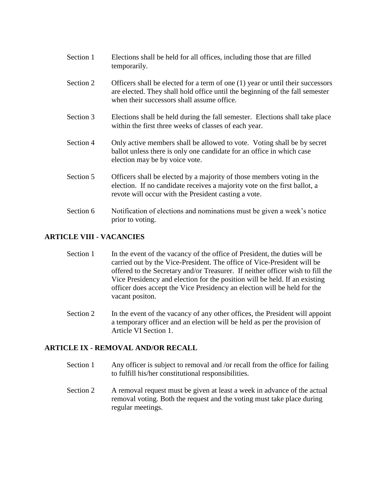- Section 1 Elections shall be held for all offices, including those that are filled temporarily.
- Section 2 Officers shall be elected for a term of one (1) year or until their successors are elected. They shall hold office until the beginning of the fall semester when their successors shall assume office.
- Section 3 Elections shall be held during the fall semester. Elections shall take place within the first three weeks of classes of each year.
- Section 4 Only active members shall be allowed to vote. Voting shall be by secret ballot unless there is only one candidate for an office in which case election may be by voice vote.
- Section 5 Officers shall be elected by a majority of those members voting in the election. If no candidate receives a majority vote on the first ballot, a revote will occur with the President casting a vote.
- Section 6 Notification of elections and nominations must be given a week's notice prior to voting.

## **ARTICLE VIII - VACANCIES**

- Section 1 In the event of the vacancy of the office of President, the duties will be carried out by the Vice-President. The office of Vice-President will be offered to the Secretary and/or Treasurer. If neither officer wish to fill the Vice Presidency and election for the position will be held. If an existing officer does accept the Vice Presidency an election will be held for the vacant positon.
- Section 2 In the event of the vacancy of any other offices, the President will appoint a temporary officer and an election will be held as per the provision of Article VI Section 1.

## **ARTICLE IX - REMOVAL AND/OR RECALL**

- Section 1 Any officer is subject to removal and /or recall from the office for failing to fulfill his/her constitutional responsibilities.
- Section 2 A removal request must be given at least a week in advance of the actual removal voting. Both the request and the voting must take place during regular meetings.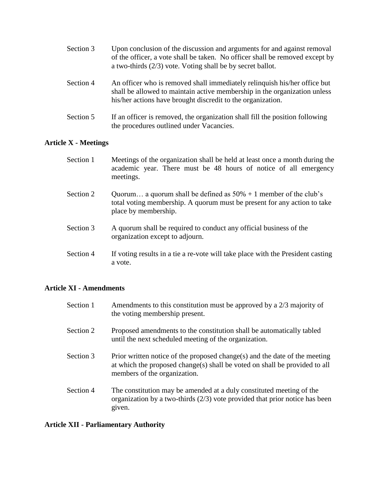| Section 3 | Upon conclusion of the discussion and arguments for and against removal<br>of the officer, a vote shall be taken. No officer shall be removed except by<br>a two-thirds $(2/3)$ vote. Voting shall be by secret ballot. |
|-----------|-------------------------------------------------------------------------------------------------------------------------------------------------------------------------------------------------------------------------|
| Section 4 | An officer who is removed shall immediately relinquish his/her office but                                                                                                                                               |

- shall be allowed to maintain active membership in the organization unless his/her actions have brought discredit to the organization.
- Section 5 If an officer is removed, the organization shall fill the position following the procedures outlined under Vacancies.

## **Article X - Meetings**

| Section 1 | Meetings of the organization shall be held at least once a month during the<br>academic year. There must be 48 hours of notice of all emergency<br>meetings.            |
|-----------|-------------------------------------------------------------------------------------------------------------------------------------------------------------------------|
| Section 2 | Quorum a quorum shall be defined as $50\% + 1$ member of the club's<br>total voting membership. A quorum must be present for any action to take<br>place by membership. |
| Section 3 | A quorum shall be required to conduct any official business of the<br>organization except to adjourn.                                                                   |
| Section 4 | If voting results in a tie a re-vote will take place with the President casting<br>a vote.                                                                              |

## **Article XI - Amendments**

| Section 1 | Amendments to this constitution must be approved by a $2/3$ majority of<br>the voting membership present.                                                                                |
|-----------|------------------------------------------------------------------------------------------------------------------------------------------------------------------------------------------|
| Section 2 | Proposed amendments to the constitution shall be automatically tabled<br>until the next scheduled meeting of the organization.                                                           |
| Section 3 | Prior written notice of the proposed change(s) and the date of the meeting<br>at which the proposed change(s) shall be voted on shall be provided to all<br>members of the organization. |
| Section 4 | The constitution may be amended at a duly constituted meeting of the<br>organization by a two-thirds $(2/3)$ vote provided that prior notice has been<br>given.                          |

## **Article XII - Parliamentary Authority**